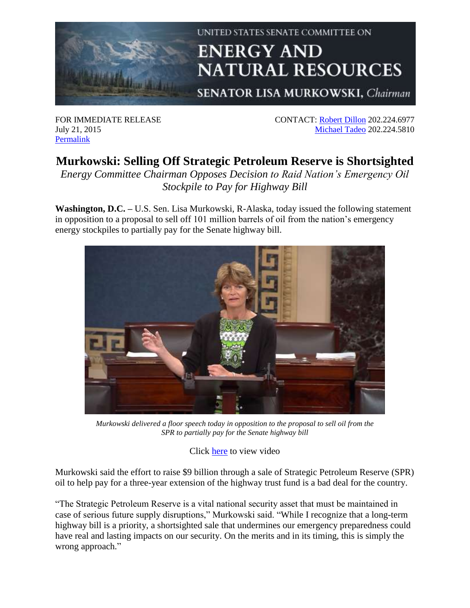

## UNITED STATES SENATE COMMITTEE ON **ENERGY AND NATURAL RESOURCES**

**SENATOR LISA MURKOWSKI, Chairman** 

FOR IMMEDIATE RELEASE July 21, 2015 [Permalink](http://www.energy.senate.gov/public/index.cfm/republican-news?ID=cd9f23e6-8f33-4377-ae6e-ea9548c3a514)

CONTACT: [Robert Dillon](mailto:robert_dillon@energy.senate.gov) 202.224.6977 [Michael Tadeo](mailto:michael_tadeo@energy.senate.gov) 202.224.5810

## **Murkowski: Selling Off Strategic Petroleum Reserve is Shortsighted**

*Energy Committee Chairman Opposes Decision to Raid Nation's Emergency Oil Stockpile to Pay for Highway Bill*

**Washington, D.C. –** U.S. Sen. Lisa Murkowski, R-Alaska, today issued the following statement in opposition to a proposal to sell off 101 million barrels of oil from the nation's emergency energy stockpiles to partially pay for the Senate highway bill.



*Murkowski delivered a floor speech today in opposition to the proposal to sell oil from the SPR to partially pay for the Senate highway bill*

Click [here](https://youtu.be/otxtBgisKts) to view video

Murkowski said the effort to raise \$9 billion through a sale of Strategic Petroleum Reserve (SPR) oil to help pay for a three-year extension of the highway trust fund is a bad deal for the country.

"The Strategic Petroleum Reserve is a vital national security asset that must be maintained in case of serious future supply disruptions," Murkowski said. "While I recognize that a long-term highway bill is a priority, a shortsighted sale that undermines our emergency preparedness could have real and lasting impacts on our security. On the merits and in its timing, this is simply the wrong approach."